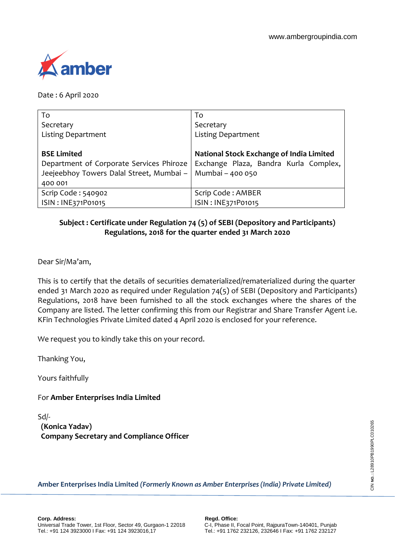

Date : 6 April 2020

| To                                       | To                                       |
|------------------------------------------|------------------------------------------|
| Secretary                                | Secretary                                |
| <b>Listing Department</b>                | <b>Listing Department</b>                |
|                                          |                                          |
| <b>BSE Limited</b>                       | National Stock Exchange of India Limited |
| Department of Corporate Services Phiroze | Exchange Plaza, Bandra Kurla Complex,    |
| Jeejeebhoy Towers Dalal Street, Mumbai - | Mumbai - 400 050                         |
| 400 001                                  |                                          |
| Scrip Code: 540902                       | Scrip Code: AMBER                        |
| ISIN: INE371P01015                       | ISIN: INE371P01015                       |

## **Subject : Certificate under Regulation 74 (5) of SEBI (Depository and Participants) Regulations, 2018 for the quarter ended 31 March 2020**

Dear Sir/Ma'am,

This is to certify that the details of securities dematerialized/rematerialized during the quarter ended 31 March 2020 as required under Regulation 74(5) of SEBI (Depository and Participants) Regulations, 2018 have been furnished to all the stock exchanges where the shares of the Company are listed. The letter confirming this from our Registrar and Share Transfer Agent i.e. KFin Technologies Private Limited dated 4 April 2020 is enclosed for your reference.

We request you to kindly take this on your record.

Thanking You,

Yours faithfully

For **Amber Enterprises India Limited** 

**(Konica Yadav) Company Secretary and Compliance Officer** Sd/-

**Amber Enterprises India Limited** *(Formerly Known as Amber Enterprises (India) Private Limited)*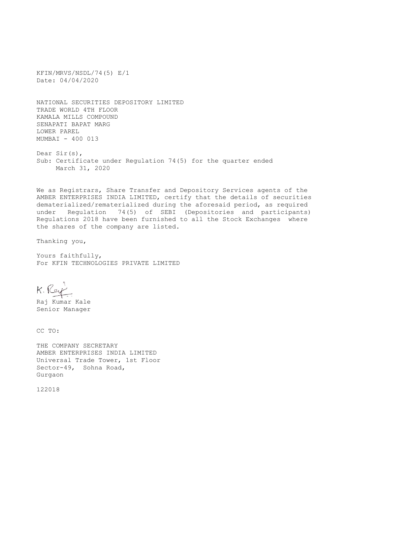KFIN/MRVS/NSDL/74(5) E/1 Date: 04/04/2020

NATIONAL SECURITIES DEPOSITORY LIMITED TRADE WORLD 4TH FLOOR KAMALA MILLS COMPOUND SENAPATI BAPAT MARG LOWER PAREL MUMBAI - 400 013

Dear Sir(s), Sub: Certificate under Regulation 74(5) for the quarter ended March 31, 2020

We as Registrars, Share Transfer and Depository Services agents of the AMBER ENTERPRISES INDIA LIMITED, certify that the details of securities dematerialized/rematerialized during the aforesaid period, as required under Regulation 74(5) of SEBI (Depositories and participants) Regulations 2018 have been furnished to all the Stock Exchanges where the shares of the company are listed.

Thanking you,

Yours faithfully, For KFIN TECHNOLOGIES PRIVATE LIMITED

K. Rey

Raj Kumar Kale Senior Manager

CC TO:

THE COMPANY SECRETARY AMBER ENTERPRISES INDIA LIMITED Universal Trade Tower, 1st Floor Sector-49, Sohna Road, Gurgaon

122018